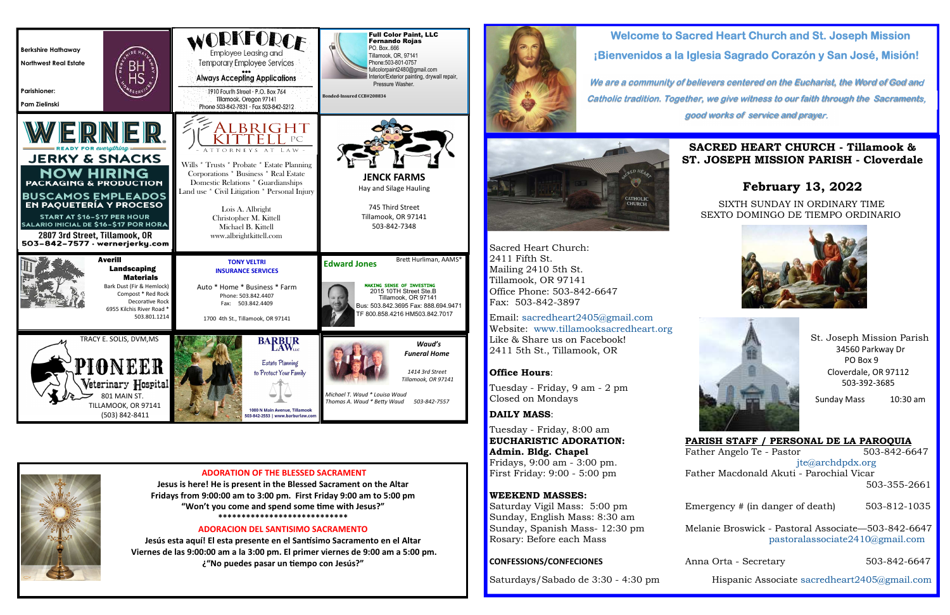# **Welcome to Sacred Heart Church and St. Joseph Mission¡Bienvenidos a la Iglesia Sagrado Corazón y San José, Misión!**

**We are a community of believers centered on the Eucharist, the Word of God and Catholic tradition. Together, we give witness to our faith through the Sacraments, good works of service and prayer.**



# **SACRED HEART CHURCH - Tillamook & ST. JOSEPH MISSION PARISH - Cloverdale**

# **February 13, 2022**

 SIXTH SUNDAY IN ORDINARY TIME SEXTO DOMINGO DE TIEMPO ORDINARIO





Sacred Heart Church: 2411 Fifth St. Mailing 2410 5th St. Tillamook, OR 97141 Office Phone: 503-842-6647 Fax: 503-842-3897

**PARISH STAFF / PERSONAL DE LA PAROQUIA** 503-842-6647 Fridays, 9:00 am - 3:00 pm.  $i \text{E}$  ite $\text{Q}$ archdpdx.org Father Macdonald Akuti - Parochial Vicar 503-355-2661



Sunday, English Mass: 8:30 am Sunday, Spanish Mass- 12:30 pm

Email: sacredheart2405@gmail.com Website: www.tillamooksacredheart.orgLike & Share us on Facebook! 2411 5th St., Tillamook, OR

## **Office Hours**:

Tuesday - Friday, 9 am - 2 pm Closed on Mondays

## **DAILY MASS**:

Tuesday - Friday, 8:00 am**EUCHARISTIC ADORATION: Admin. Bldg. Chapel** Father Angelo Te - Pastor First Friday: 9:00 - 5:00 pm

**WEEKEND MASSES:**

Saturday Vigil Mass: 5:00 pm

Emergency # (in danger of death) 503-812-1035

Sunday, Spanish Mass- 12:30 pm Melanie Broswick - Pastoral Associate—503-842-6647<br>Rosary: Before each Mass basic pastoral associate 2410@gmail.com pastoralassociate2410@gmail.com

**CONFESSIONS/CONFECIONES** Anna Orta - Secretary 503-842-6647

Saturdays/Sabado de 3:30 - 4:30 pm Hispanic Associate sacredheart2405@gmail.com

 St. Joseph Mission Parish 34560 Parkway Dr PO Box 9 Cloverdale, OR 97112 503-392-3685

Sunday Mass 10:30 am

Jesús esta aquí! El esta presente en el Santísimo Sacramento en el Altar  **Viernes de las 9:00:00 am a la 3:00 pm. El primer viernes de 9:00 am a 5:00 pm. ¿"No puedes pasar un 3empo con Jesús?"** 



| <b>Berkshire Hathaway</b><br><b>Northwest Real Estate</b><br><b>Parishioner:</b><br>Pam Zielinski                                                                                                                                                                                                      |                                                                                                                                                                             |     | $\sqrt{C\mathbb{R}}$ EQQ $C\mathbb{R}$<br><b>Temporary Employee Services</b><br><b>Always Accepting Applications</b><br>1910 Fourth Street · P.O. Box 764<br>Tillamook, Oregon 97141<br>Phone 503-842-7831 · Fax 503-842-5212                                                       | PO. Box666<br>Bonded-Insured CCB#208834                      | <b>Full Color Paint, LLC</b><br><b>Fernando Rojas</b><br>Tillamook, OR, 97141<br>Phone: 503-801-0757<br>fullcolorpaint2480@gmail.com<br>Interior/Exterior painting, drywall repair,<br>Pressure Washer. |
|--------------------------------------------------------------------------------------------------------------------------------------------------------------------------------------------------------------------------------------------------------------------------------------------------------|-----------------------------------------------------------------------------------------------------------------------------------------------------------------------------|-----|-------------------------------------------------------------------------------------------------------------------------------------------------------------------------------------------------------------------------------------------------------------------------------------|--------------------------------------------------------------|---------------------------------------------------------------------------------------------------------------------------------------------------------------------------------------------------------|
| <b>JERKY &amp; SNACKS</b><br><b>NOW HIRING</b><br><b>PACKAGING &amp; PRODUCTION</b><br><b>BUSCAMOS EMPLEADOS<br/>EN PAQUETERÍA Y PROCESO</b><br><b>START AT \$16-\$17 PER HOUR</b><br><b>SALARIO INICIAL DE \$16-\$17 POR HORA</b><br>2807 3rd Street, Tillamook, OR<br>503-842-7577 · wernerjerky.com | VERNER                                                                                                                                                                      | ORN | BRIGHT<br>Wills * Trusts * Probate * Estate Planning<br>Corporations * Business * Real Estate<br>Domestic Relations * Guardianships<br>Land use * Civil Litigation * Personal Injury<br>Lois A. Albright<br>Christopher M. Kittell<br>Michael B. Kittell<br>www.albrightkittell.com |                                                              | <b>JENCK FARMS</b><br>Hay and Silage Hauling<br>745 Third Street<br>Tillamook, OR 97141<br>503-842-7348                                                                                                 |
|                                                                                                                                                                                                                                                                                                        | <b>Averill</b><br><b>Landscaping</b><br><b>Materials</b><br>Bark Dust (Fir & Hemlock)<br>Compost * Red Rock<br>Decorative Rock<br>6955 Kilchis River Road *<br>503.801.1214 |     | <b>TONY VELTRI</b><br><b>INSURANCE SERVICES</b><br>Auto * Home * Business * Farm<br>Phone: 503.842.4407<br>Fax: 503.842.4409<br>1700 4th St., Tillamook, OR 97141                                                                                                                   | <b>Edward Jones</b>                                          | Brett Hurliman, AAMS*<br><b>MAKING SENSE OF INVESTING</b><br>2015 10TH Street Ste.B<br>Tillamook, OR 97141<br>Bus: 503.842.3695 Fax: 888.694.9471<br>TF 800.858.4216 HM503.842.7017                     |
|                                                                                                                                                                                                                                                                                                        | TRACY E. SOLIS, DVM, MS<br>PIONEER<br>Veterinary <b>Hospital</b><br>801 MAIN ST.<br>TILLAMOOK, OR 97141<br>(503) 842-8411                                                   |     | <b>BARBUR</b><br>Estate Planning<br>to Protect Your Family<br>1000 N Main Avenue, Tillamook<br>503-842-2553   www.barburlaw.com                                                                                                                                                     | Michael T. Waud * Louisa Waud<br>Thomas A. Waud * Betty Waud | Waud's<br><b>Funeral Home</b><br>1414 3rd Street<br>Tillamook, OR 97141<br>503-842-7557                                                                                                                 |



**Jesus is here! He is present in the Blessed Sacrament on the Altar Fridays from 9:00:00 am to 3:00 pm. First Friday 9:00 am to 5:00 pm** "Won't you come and spend some time with Jesus?" **\*\*\*\*\*\*\*\*\*\*\*\*\*\*\*\*\*\*\*\*\*\*\*\*\*\*\*\*** 

## **ADORACION DEL SANTISIMO SACRAMENTO**